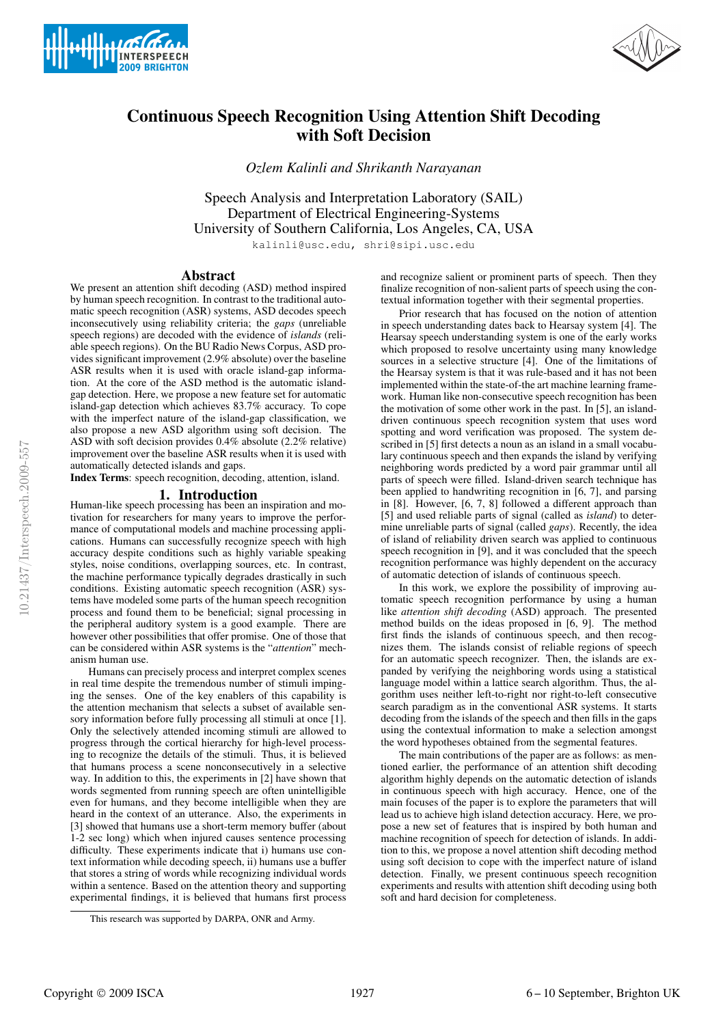



# Continuous Speech Recognition Using Attention Shift Decoding with Soft Decision

*Ozlem Kalinli and Shrikanth Narayanan*

Speech Analysis and Interpretation Laboratory (SAIL) Department of Electrical Engineering-Systems University of Southern California, Los Angeles, CA, USA

kalinli@usc.edu, shri@sipi.usc.edu

# Abstract

We present an attention shift decoding (ASD) method inspired by human speech recognition. In contrast to the traditional automatic speech recognition (ASR) systems, ASD decodes speech inconsecutively using reliability criteria; the *gaps* (unreliable speech regions) are decoded with the evidence of *islands* (reliable speech regions). On the BU Radio News Corpus, ASD provides significant improvement (2.9% absolute) over the baseline ASR results when it is used with oracle island-gap information. At the core of the ASD method is the automatic islandgap detection. Here, we propose a new feature set for automatic island-gap detection which achieves 83.7% accuracy. To cope with the imperfect nature of the island-gap classification, we also propose a new ASD algorithm using soft decision. The ASD with soft decision provides 0.4% absolute (2.2% relative) improvement over the baseline ASR results when it is used with automatically detected islands and gaps.

Index Terms: speech recognition, decoding, attention, island.

# 1. Introduction

Human-like speech processing has been an inspiration and motivation for researchers for many years to improve the performance of computational models and machine processing applications. Humans can successfully recognize speech with high accuracy despite conditions such as highly variable speaking styles, noise conditions, overlapping sources, etc. In contrast, the machine performance typically degrades drastically in such conditions. Existing automatic speech recognition (ASR) systems have modeled some parts of the human speech recognition process and found them to be beneficial; signal processing in the peripheral auditory system is a good example. There are however other possibilities that offer promise. One of those that can be considered within ASR systems is the "*attention*" mechanism human use.

Humans can precisely process and interpret complex scenes in real time despite the tremendous number of stimuli impinging the senses. One of the key enablers of this capability is the attention mechanism that selects a subset of available sensory information before fully processing all stimuli at once [1]. Only the selectively attended incoming stimuli are allowed to progress through the cortical hierarchy for high-level processing to recognize the details of the stimuli. Thus, it is believed that humans process a scene nonconsecutively in a selective way. In addition to this, the experiments in [2] have shown that words segmented from running speech are often unintelligible even for humans, and they become intelligible when they are heard in the context of an utterance. Also, the experiments in [3] showed that humans use a short-term memory buffer (about 1-2 sec long) which when injured causes sentence processing difficulty. These experiments indicate that i) humans use context information while decoding speech, ii) humans use a buffer that stores a string of words while recognizing individual words within a sentence. Based on the attention theory and supporting experimental findings, it is believed that humans first process and recognize salient or prominent parts of speech. Then they finalize recognition of non-salient parts of speech using the contextual information together with their segmental properties.

Prior research that has focused on the notion of attention in speech understanding dates back to Hearsay system [4]. The Hearsay speech understanding system is one of the early works which proposed to resolve uncertainty using many knowledge sources in a selective structure [4]. One of the limitations of the Hearsay system is that it was rule-based and it has not been implemented within the state-of-the art machine learning framework. Human like non-consecutive speech recognition has been the motivation of some other work in the past. In [5], an islanddriven continuous speech recognition system that uses word spotting and word verification was proposed. The system described in [5] first detects a noun as an island in a small vocabulary continuous speech and then expands the island by verifying neighboring words predicted by a word pair grammar until all parts of speech were filled. Island-driven search technique has been applied to handwriting recognition in [6, 7], and parsing in [8]. However, [6, 7, 8] followed a different approach than [5] and used reliable parts of signal (called as *island*) to determine unreliable parts of signal (called *gaps*). Recently, the idea of island of reliability driven search was applied to continuous speech recognition in [9], and it was concluded that the speech recognition performance was highly dependent on the accuracy of automatic detection of islands of continuous speech.

In this work, we explore the possibility of improving automatic speech recognition performance by using a human like *attention shift decoding* (ASD) approach. The presented method builds on the ideas proposed in [6, 9]. The method first finds the islands of continuous speech, and then recognizes them. The islands consist of reliable regions of speech for an automatic speech recognizer. Then, the islands are expanded by verifying the neighboring words using a statistical language model within a lattice search algorithm. Thus, the algorithm uses neither left-to-right nor right-to-left consecutive search paradigm as in the conventional ASR systems. It starts decoding from the islands of the speech and then fills in the gaps using the contextual information to make a selection amongst the word hypotheses obtained from the segmental features.

The main contributions of the paper are as follows: as mentioned earlier, the performance of an attention shift decoding algorithm highly depends on the automatic detection of islands in continuous speech with high accuracy. Hence, one of the main focuses of the paper is to explore the parameters that will lead us to achieve high island detection accuracy. Here, we propose a new set of features that is inspired by both human and machine recognition of speech for detection of islands. In addition to this, we propose a novel attention shift decoding method using soft decision to cope with the imperfect nature of island detection. Finally, we present continuous speech recognition experiments and results with attention shift decoding using both soft and hard decision for completeness.

This research was supported by DARPA, ONR and Army.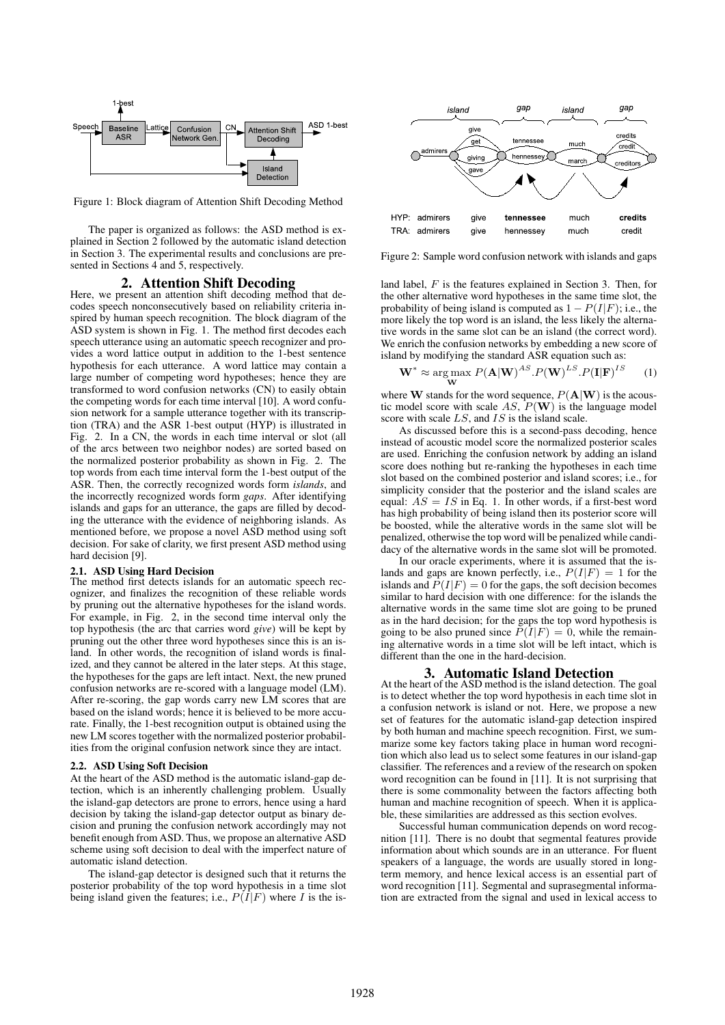

Figure 1: Block diagram of Attention Shift Decoding Method

The paper is organized as follows: the ASD method is explained in Section 2 followed by the automatic island detection in Section 3. The experimental results and conclusions are presented in Sections 4 and 5, respectively.

# 2. Attention Shift Decoding

Here, we present an attention shift decoding method that decodes speech nonconsecutively based on reliability criteria inspired by human speech recognition. The block diagram of the ASD system is shown in Fig. 1. The method first decodes each speech utterance using an automatic speech recognizer and provides a word lattice output in addition to the 1-best sentence hypothesis for each utterance. A word lattice may contain a large number of competing word hypotheses; hence they are transformed to word confusion networks (CN) to easily obtain the competing words for each time interval [10]. A word confusion network for a sample utterance together with its transcription (TRA) and the ASR 1-best output (HYP) is illustrated in Fig. 2. In a CN, the words in each time interval or slot (all of the arcs between two neighbor nodes) are sorted based on the normalized posterior probability as shown in Fig. 2. The top words from each time interval form the 1-best output of the ASR. Then, the correctly recognized words form *islands*, and the incorrectly recognized words form *gaps*. After identifying islands and gaps for an utterance, the gaps are filled by decoding the utterance with the evidence of neighboring islands. As mentioned before, we propose a novel ASD method using soft decision. For sake of clarity, we first present ASD method using hard decision [9].

### 2.1. ASD Using Hard Decision

The method first detects islands for an automatic speech recognizer, and finalizes the recognition of these reliable words by pruning out the alternative hypotheses for the island words. For example, in Fig. 2, in the second time interval only the top hypothesis (the arc that carries word *give*) will be kept by pruning out the other three word hypotheses since this is an island. In other words, the recognition of island words is finalized, and they cannot be altered in the later steps. At this stage, the hypotheses for the gaps are left intact. Next, the new pruned confusion networks are re-scored with a language model (LM). After re-scoring, the gap words carry new LM scores that are based on the island words; hence it is believed to be more accurate. Finally, the 1-best recognition output is obtained using the new LM scores together with the normalized posterior probabilities from the original confusion network since they are intact.

### 2.2. ASD Using Soft Decision

At the heart of the ASD method is the automatic island-gap detection, which is an inherently challenging problem. Usually the island-gap detectors are prone to errors, hence using a hard decision by taking the island-gap detector output as binary decision and pruning the confusion network accordingly may not benefit enough from ASD. Thus, we propose an alternative ASD scheme using soft decision to deal with the imperfect nature of automatic island detection.

The island-gap detector is designed such that it returns the posterior probability of the top word hypothesis in a time slot being island given the features; i.e.,  $P(\hat{I}|F)$  where  $\hat{I}$  is the is-



Figure 2: Sample word confusion network with islands and gaps

land label, F is the features explained in Section 3. Then, for the other alternative word hypotheses in the same time slot, the probability of being island is computed as  $1 - P(I|F)$ ; i.e., the more likely the top word is an island, the less likely the alternative words in the same slot can be an island (the correct word). We enrich the confusion networks by embedding a new score of island by modifying the standard ASR equation such as:

$$
\mathbf{W}^* \approx \underset{\mathbf{W}}{\arg \max} P(\mathbf{A}|\mathbf{W})^{AS} . P(\mathbf{W})^{LS} . P(\mathbf{I}|\mathbf{F})^{IS} \tag{1}
$$

where **W** stands for the word sequence,  $P(A|W)$  is the acoustic model score with scale AS,  $P(\mathbf{W})$  is the language model score with scale  $LS$ , and  $IS$  is the island scale.

As discussed before this is a second-pass decoding, hence instead of acoustic model score the normalized posterior scales are used. Enriching the confusion network by adding an island score does nothing but re-ranking the hypotheses in each time slot based on the combined posterior and island scores; i.e., for simplicity consider that the posterior and the island scales are equal:  $AS = IS$  in Eq. 1. In other words, if a first-best word has high probability of being island then its posterior score will be boosted, while the alterative words in the same slot will be penalized, otherwise the top word will be penalized while candidacy of the alternative words in the same slot will be promoted.

In our oracle experiments, where it is assumed that the islands and gaps are known perfectly, i.e.,  $P(I|F) = 1$  for the islands and  $\vec{P}(I|F) = 0$  for the gaps, the soft decision becomes similar to hard decision with one difference: for the islands the alternative words in the same time slot are going to be pruned as in the hard decision; for the gaps the top word hypothesis is going to be also pruned since  $\tilde{P(I|F)} = 0$ , while the remaining alternative words in a time slot will be left intact, which is different than the one in the hard-decision.

# 3. Automatic Island Detection

At the heart of the ASD method is the island detection. The goal is to detect whether the top word hypothesis in each time slot in a confusion network is island or not. Here, we propose a new set of features for the automatic island-gap detection inspired by both human and machine speech recognition. First, we summarize some key factors taking place in human word recognition which also lead us to select some features in our island-gap classifier. The references and a review of the research on spoken word recognition can be found in [11]. It is not surprising that there is some commonality between the factors affecting both human and machine recognition of speech. When it is applicable, these similarities are addressed as this section evolves.

Successful human communication depends on word recognition [11]. There is no doubt that segmental features provide information about which sounds are in an utterance. For fluent speakers of a language, the words are usually stored in longterm memory, and hence lexical access is an essential part of word recognition [11]. Segmental and suprasegmental information are extracted from the signal and used in lexical access to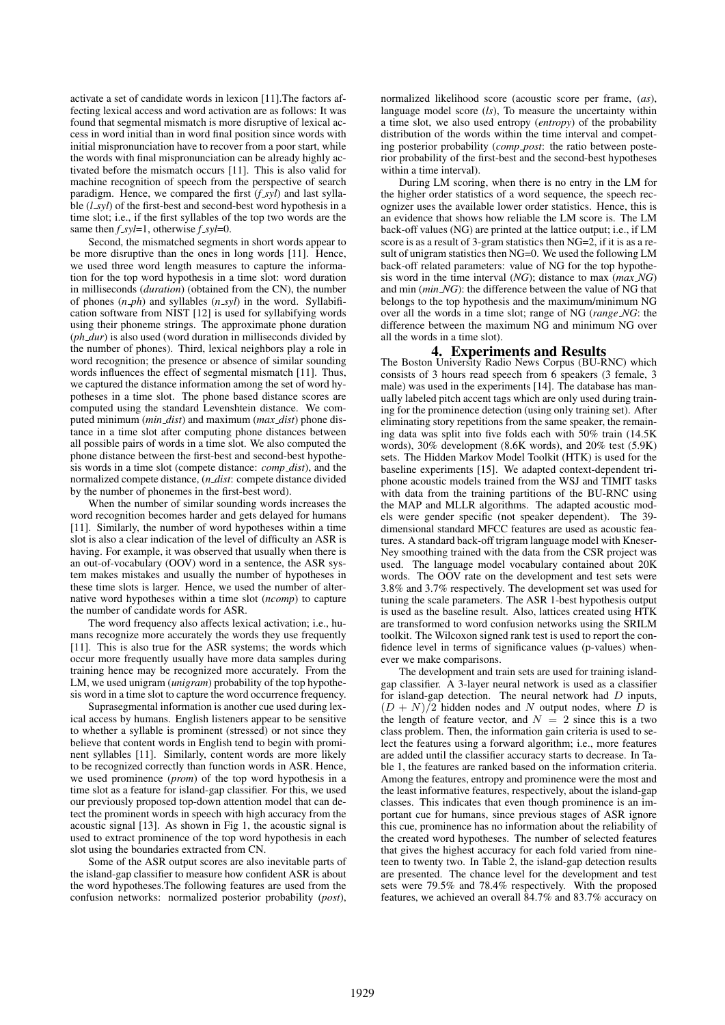activate a set of candidate words in lexicon [11].The factors affecting lexical access and word activation are as follows: It was found that segmental mismatch is more disruptive of lexical access in word initial than in word final position since words with initial mispronunciation have to recover from a poor start, while the words with final mispronunciation can be already highly activated before the mismatch occurs [11]. This is also valid for machine recognition of speech from the perspective of search paradigm. Hence, we compared the first (*f\_syl*) and last syllable (*l syl*) of the first-best and second-best word hypothesis in a time slot; i.e., if the first syllables of the top two words are the same then *f syl*=1, otherwise *f syl*=0.

Second, the mismatched segments in short words appear to be more disruptive than the ones in long words [11]. Hence, we used three word length measures to capture the information for the top word hypothesis in a time slot: word duration in milliseconds (*duration*) (obtained from the CN), the number of phones (*n ph*) and syllables (*n syl*) in the word. Syllabification software from NIST [12] is used for syllabifying words using their phoneme strings. The approximate phone duration (*ph dur*) is also used (word duration in milliseconds divided by the number of phones). Third, lexical neighbors play a role in word recognition; the presence or absence of similar sounding words influences the effect of segmental mismatch [11]. Thus, we captured the distance information among the set of word hypotheses in a time slot. The phone based distance scores are computed using the standard Levenshtein distance. We computed minimum (*min dist*) and maximum (*max dist*) phone distance in a time slot after computing phone distances between all possible pairs of words in a time slot. We also computed the phone distance between the first-best and second-best hypothesis words in a time slot (compete distance: *comp dist*), and the normalized compete distance, (*n dist*: compete distance divided by the number of phonemes in the first-best word).

When the number of similar sounding words increases the word recognition becomes harder and gets delayed for humans [11]. Similarly, the number of word hypotheses within a time slot is also a clear indication of the level of difficulty an ASR is having. For example, it was observed that usually when there is an out-of-vocabulary (OOV) word in a sentence, the ASR system makes mistakes and usually the number of hypotheses in these time slots is larger. Hence, we used the number of alternative word hypotheses within a time slot (*ncomp*) to capture the number of candidate words for ASR.

The word frequency also affects lexical activation; i.e., humans recognize more accurately the words they use frequently [11]. This is also true for the ASR systems; the words which occur more frequently usually have more data samples during training hence may be recognized more accurately. From the LM, we used unigram (*unigram*) probability of the top hypothesis word in a time slot to capture the word occurrence frequency.

Suprasegmental information is another cue used during lexical access by humans. English listeners appear to be sensitive to whether a syllable is prominent (stressed) or not since they believe that content words in English tend to begin with prominent syllables [11]. Similarly, content words are more likely to be recognized correctly than function words in ASR. Hence, we used prominence (*prom*) of the top word hypothesis in a time slot as a feature for island-gap classifier. For this, we used our previously proposed top-down attention model that can detect the prominent words in speech with high accuracy from the acoustic signal [13]. As shown in Fig 1, the acoustic signal is used to extract prominence of the top word hypothesis in each slot using the boundaries extracted from CN.

Some of the ASR output scores are also inevitable parts of the island-gap classifier to measure how confident ASR is about the word hypotheses.The following features are used from the confusion networks: normalized posterior probability (*post*), normalized likelihood score (acoustic score per frame, (*as*), language model score (*ls*), To measure the uncertainty within a time slot, we also used entropy (*entropy*) of the probability distribution of the words within the time interval and competing posterior probability (*comp post*: the ratio between posterior probability of the first-best and the second-best hypotheses within a time interval).

During LM scoring, when there is no entry in the LM for the higher order statistics of a word sequence, the speech recognizer uses the available lower order statistics. Hence, this is an evidence that shows how reliable the LM score is. The LM back-off values (NG) are printed at the lattice output; i.e., if LM score is as a result of 3-gram statistics then NG=2, if it is as a result of unigram statistics then NG=0. We used the following LM back-off related parameters: value of NG for the top hypothesis word in the time interval (*NG*); distance to max (*max NG*) and min (*min NG*): the difference between the value of NG that belongs to the top hypothesis and the maximum/minimum NG over all the words in a time slot; range of NG (*range NG*: the difference between the maximum NG and minimum NG over all the words in a time slot).

# 4. Experiments and Results

The Boston University Radio News Corpus (BU-RNC) which consists of 3 hours read speech from 6 speakers (3 female, 3 male) was used in the experiments [14]. The database has manually labeled pitch accent tags which are only used during training for the prominence detection (using only training set). After eliminating story repetitions from the same speaker, the remaining data was split into five folds each with 50% train (14.5K words), 30% development (8.6K words), and 20% test (5.9K) sets. The Hidden Markov Model Toolkit (HTK) is used for the baseline experiments [15]. We adapted context-dependent triphone acoustic models trained from the WSJ and TIMIT tasks with data from the training partitions of the BU-RNC using the MAP and MLLR algorithms. The adapted acoustic models were gender specific (not speaker dependent). The 39 dimensional standard MFCC features are used as acoustic features. A standard back-off trigram language model with Kneser-Ney smoothing trained with the data from the CSR project was used. The language model vocabulary contained about 20K words. The OOV rate on the development and test sets were 3.8% and 3.7% respectively. The development set was used for tuning the scale parameters. The ASR 1-best hypothesis output is used as the baseline result. Also, lattices created using HTK are transformed to word confusion networks using the SRILM toolkit. The Wilcoxon signed rank test is used to report the confidence level in terms of significance values (p-values) whenever we make comparisons.

The development and train sets are used for training islandgap classifier. A 3-layer neural network is used as a classifier for island-gap detection. The neural network had  $D$  inputs,  $(D + N)/2$  hidden nodes and N output nodes, where D is the length of feature vector, and  $N = 2$  since this is a two class problem. Then, the information gain criteria is used to select the features using a forward algorithm; i.e., more features are added until the classifier accuracy starts to decrease. In Table 1, the features are ranked based on the information criteria. Among the features, entropy and prominence were the most and the least informative features, respectively, about the island-gap classes. This indicates that even though prominence is an important cue for humans, since previous stages of ASR ignore this cue, prominence has no information about the reliability of the created word hypotheses. The number of selected features that gives the highest accuracy for each fold varied from nineteen to twenty two. In Table 2, the island-gap detection results are presented. The chance level for the development and test sets were 79.5% and 78.4% respectively. With the proposed features, we achieved an overall 84.7% and 83.7% accuracy on